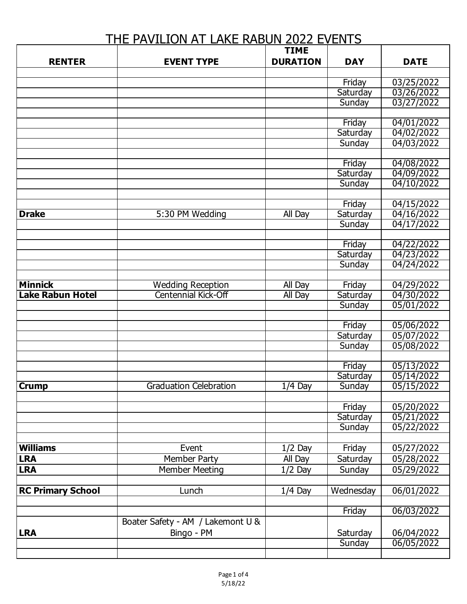## THE PAVILION AT LAKE RABUN 2022 EVENTS

|                          |                                   | <b>TIME</b>     |                    |                          |
|--------------------------|-----------------------------------|-----------------|--------------------|--------------------------|
| <b>RENTER</b>            | <b>EVENT TYPE</b>                 | <b>DURATION</b> | <b>DAY</b>         | <b>DATE</b>              |
|                          |                                   |                 |                    |                          |
|                          |                                   |                 | Friday             | 03/25/2022               |
|                          |                                   |                 | Saturday           | 03/26/2022               |
|                          |                                   |                 | Sunday             | 03/27/2022               |
|                          |                                   |                 |                    |                          |
|                          |                                   |                 | Friday             | 04/01/2022               |
|                          |                                   |                 | Saturday           | 04/02/2022               |
|                          |                                   |                 | Sunday             | 04/03/2022               |
|                          |                                   |                 |                    |                          |
|                          |                                   |                 | Friday             | 04/08/2022               |
|                          |                                   |                 | Saturday           | 04/09/2022               |
|                          |                                   |                 | Sunday             | 04/10/2022               |
|                          |                                   |                 |                    |                          |
| <b>Drake</b>             | 5:30 PM Wedding                   | <b>All Day</b>  | Friday<br>Saturday | 04/15/2022<br>04/16/2022 |
|                          |                                   |                 | Sunday             | 04/17/2022               |
|                          |                                   |                 |                    |                          |
|                          |                                   |                 | Friday             | 04/22/2022               |
|                          |                                   |                 | Saturday           | 04/23/2022               |
|                          |                                   |                 | Sunday             | 04/24/2022               |
|                          |                                   |                 |                    |                          |
| <b>Minnick</b>           | <b>Wedding Reception</b>          | All Day         | Friday             | 04/29/2022               |
| <b>Lake Rabun Hotel</b>  | <b>Centennial Kick-Off</b>        | <b>All Day</b>  | Saturday           | 04/30/2022               |
|                          |                                   |                 | Sunday             | 05/01/2022               |
|                          |                                   |                 |                    |                          |
|                          |                                   |                 | Friday             | 05/06/2022               |
|                          |                                   |                 | Saturday           | 05/07/2022               |
|                          |                                   |                 | Sunday             | 05/08/2022               |
|                          |                                   |                 |                    |                          |
|                          |                                   |                 | Friday             | 05/13/2022               |
|                          |                                   |                 | Saturday           | 05/14/2022               |
| <b>Crump</b>             | <b>Graduation Celebration</b>     | $1/4$ Day       | <b>Sunday</b>      | 05/15/2022               |
|                          |                                   |                 |                    |                          |
|                          |                                   |                 | Friday             | 05/20/2022               |
|                          |                                   |                 | Saturday           | 05/21/2022               |
|                          |                                   |                 | Sunday             | 05/22/2022               |
|                          |                                   |                 |                    |                          |
| <b>Williams</b>          | Event                             | $1/2$ Day       | Friday             | 05/27/2022               |
| <b>LRA</b>               | Member Party                      | All Day         | Saturday           | 05/28/2022               |
| <b>LRA</b>               | <b>Member Meeting</b>             | $1/2$ Day       | Sunday             | 05/29/2022               |
|                          |                                   |                 |                    |                          |
| <b>RC Primary School</b> | Lunch                             | $1/4$ Day       | Wednesday          | 06/01/2022               |
|                          |                                   |                 |                    |                          |
|                          |                                   |                 | Friday             | 06/03/2022               |
|                          | Boater Safety - AM / Lakemont U & |                 |                    |                          |
| <b>LRA</b>               | Bingo - PM                        |                 | Saturday           | 06/04/2022               |
|                          |                                   |                 | Sunday             | 06/05/2022               |
|                          |                                   |                 |                    |                          |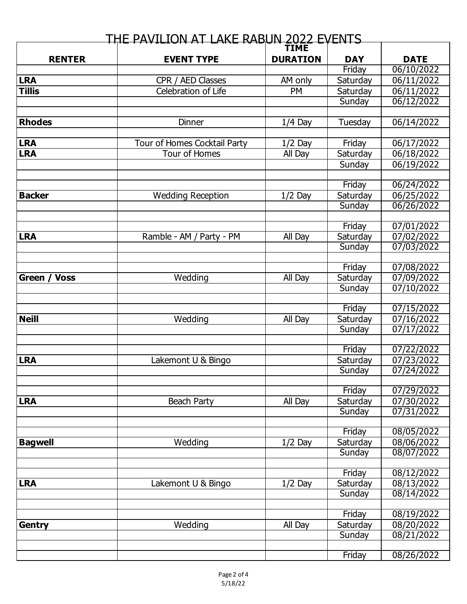| <u>THE PAVILION AT LAKE RABUN 2022 EVENTS</u> |                                               |                 |                    |                          |
|-----------------------------------------------|-----------------------------------------------|-----------------|--------------------|--------------------------|
|                                               |                                               | <b>TIME</b>     |                    |                          |
| <b>RENTER</b>                                 | <b>EVENT TYPE</b>                             | <b>DURATION</b> | <b>DAY</b>         | <b>DATE</b>              |
|                                               |                                               |                 | Friday             | 06/10/2022               |
| <b>LRA</b>                                    | CPR / AED Classes                             | AM only         | Saturday           | 06/11/2022               |
| <b>Tillis</b>                                 | Celebration of Life                           | PM              | Saturday           | 06/11/2022               |
|                                               |                                               |                 | Sunday             | 06/12/2022               |
|                                               |                                               |                 |                    |                          |
| <b>Rhodes</b>                                 | Dinner                                        | $1/4$ Day       | Tuesday            | 06/14/2022               |
| <b>LRA</b>                                    |                                               |                 |                    |                          |
|                                               | Tour of Homes Cocktail Party<br>Tour of Homes | $1/2$ Day       | Friday             | 06/17/2022               |
| <b>LRA</b>                                    |                                               | All Day         | Saturday           | 06/18/2022               |
|                                               |                                               |                 | Sunday             | 06/19/2022               |
|                                               |                                               |                 | Friday             | 06/24/2022               |
| <b>Backer</b>                                 | <b>Wedding Reception</b>                      | $1/2$ Day       | Saturday           | $\overline{06/25}/2022$  |
|                                               |                                               |                 | Sunday             | 06/26/2022               |
|                                               |                                               |                 |                    |                          |
|                                               |                                               |                 | Friday             | 07/01/2022               |
| <b>LRA</b>                                    | Ramble - AM / Party - PM                      | All Day         | Saturday           | 07/02/2022               |
|                                               |                                               |                 | Sunday             | 07/03/2022               |
|                                               |                                               |                 |                    |                          |
|                                               |                                               |                 | Friday             | 07/08/2022               |
| Green /<br><b>Voss</b>                        | Wedding                                       | All Day         | Saturday           | 07/09/2022               |
|                                               |                                               |                 | Sunday             | 07/10/2022               |
|                                               |                                               |                 |                    |                          |
|                                               |                                               |                 | Friday             | 07/15/2022               |
| <b>Neill</b>                                  | Wedding                                       | All Day         | Saturday           | 07/16/2022               |
|                                               |                                               |                 | Sunday             | 07/17/2022               |
|                                               |                                               |                 |                    |                          |
|                                               |                                               |                 | Friday             | 07/22/2022               |
| <b>LRA</b>                                    | Lakemont U & Bingo                            |                 | Saturday           | 07/23/2022               |
|                                               |                                               |                 | Sunday             | 07/24/2022               |
|                                               |                                               |                 |                    |                          |
|                                               |                                               |                 | Friday             | 07/29/2022               |
| <b>LRA</b>                                    | <b>Beach Party</b>                            | All Day         | Saturday           | 07/30/2022               |
|                                               |                                               |                 | Sunday             | 07/31/2022               |
|                                               |                                               |                 |                    |                          |
|                                               | $\overline{W}$ edding                         |                 | Friday<br>Saturday | 08/05/2022               |
| <b>Bagwell</b>                                |                                               | $1/2$ Day       | Sunday             | 08/06/2022<br>08/07/2022 |
|                                               |                                               |                 |                    |                          |
|                                               |                                               |                 | Friday             | 08/12/2022               |
| <b>LRA</b>                                    | Lakemont U & Bingo                            | $1/2$ Day       | Saturday           | 08/13/2022               |
|                                               |                                               |                 | Sunday             | 08/14/2022               |
|                                               |                                               |                 |                    |                          |
|                                               |                                               |                 | Friday             | 08/19/2022               |
| Gentry                                        | Wedding                                       | All Day         | Saturday           | 08/20/2022               |
|                                               |                                               |                 | Sunday             | 08/21/2022               |
|                                               |                                               |                 |                    |                          |
|                                               |                                               |                 | Friday             | 08/26/2022               |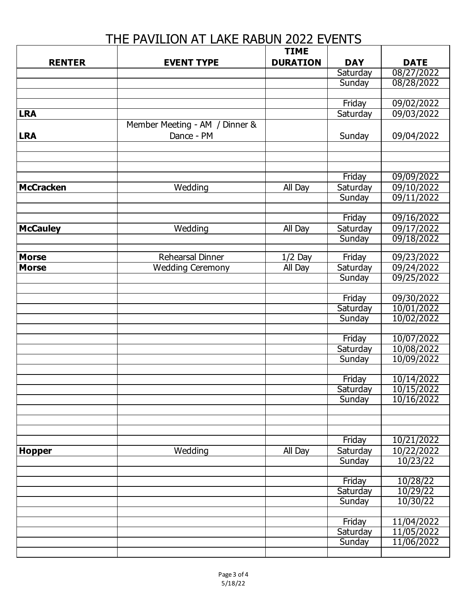## THE PAVILION AT LAKE RABUN 2022 EVENTS

|                  |                                | <b>TIME</b>     |                    |                          |
|------------------|--------------------------------|-----------------|--------------------|--------------------------|
| <b>RENTER</b>    | <b>EVENT TYPE</b>              | <b>DURATION</b> | <b>DAY</b>         | <b>DATE</b>              |
|                  |                                |                 | Saturday           | 08/27/2022               |
|                  |                                |                 | Sunday             | 08/28/2022               |
|                  |                                |                 |                    |                          |
|                  |                                |                 | Friday             | 09/02/2022               |
| <b>LRA</b>       |                                |                 | Saturday           | 09/03/2022               |
|                  | Member Meeting - AM / Dinner & |                 |                    |                          |
| <b>LRA</b>       | Dance - PM                     |                 | Sunday             | 09/04/2022               |
|                  |                                |                 |                    |                          |
|                  |                                |                 |                    |                          |
|                  |                                |                 |                    |                          |
|                  |                                |                 | Friday             | 09/09/2022               |
| <b>McCracken</b> | Wedding                        | All Day         | Saturday           | 09/10/2022               |
|                  |                                |                 | Sunday             | 09/11/2022               |
|                  |                                |                 |                    |                          |
|                  |                                |                 | Friday             | 09/16/2022               |
| <b>McCauley</b>  | Wedding                        | All Day         | Saturday           | 09/17/2022               |
|                  |                                |                 | Sunday             | 09/18/2022               |
|                  |                                |                 |                    |                          |
| <b>Morse</b>     | Rehearsal Dinner               | $1/2$ Day       | Friday             | 09/23/2022               |
| <b>Morse</b>     | <b>Wedding Ceremony</b>        | All Day         | Saturday           | 09/24/2022               |
|                  |                                |                 | Sunday             | 09/25/2022               |
|                  |                                |                 |                    |                          |
|                  |                                |                 | Friday             | 09/30/2022               |
|                  |                                |                 | Saturday           | 10/01/2022               |
|                  |                                |                 | Sunday             | 10/02/2022               |
|                  |                                |                 |                    |                          |
|                  |                                |                 | Friday             | 10/07/2022               |
|                  |                                |                 | Saturday           | 10/08/2022               |
|                  |                                |                 | Sunday             | 10/09/2022               |
|                  |                                |                 |                    |                          |
|                  |                                |                 | Friday             | 10/14/2022<br>10/15/2022 |
|                  |                                |                 | Saturday<br>Sunday | 10/16/2022               |
|                  |                                |                 |                    |                          |
|                  |                                |                 |                    |                          |
|                  |                                |                 |                    |                          |
|                  |                                |                 | Friday             | 10/21/2022               |
| <b>Hopper</b>    | Wedding                        | All Day         | Saturday           | 10/22/2022               |
|                  |                                |                 | Sunday             | 10/23/22                 |
|                  |                                |                 |                    |                          |
|                  |                                |                 | Friday             | 10/28/22                 |
|                  |                                |                 | Saturday           | 10/29/22                 |
|                  |                                |                 | Sunday             | 10/30/22                 |
|                  |                                |                 |                    |                          |
|                  |                                |                 | Friday             | 11/04/2022               |
|                  |                                |                 | Saturday           | 11/05/2022               |
|                  |                                |                 | Sunday             | 11/06/2022               |
|                  |                                |                 |                    |                          |
|                  |                                |                 |                    |                          |